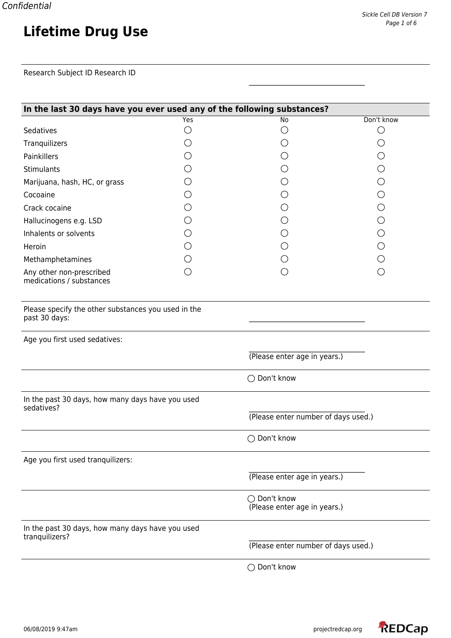## **Lifetime Drug Use**

Research Subject ID Research ID

| In the last 30 days have you ever used any of the following substances? |                 |                                              |                                                  |  |
|-------------------------------------------------------------------------|-----------------|----------------------------------------------|--------------------------------------------------|--|
|                                                                         | <b>Yes</b>      | $\overline{No}$                              | Don't know                                       |  |
| Sedatives                                                               | О               | ()                                           | O                                                |  |
| Tranquilizers                                                           | O               |                                              | ()                                               |  |
| Painkillers                                                             | ()              |                                              |                                                  |  |
| Stimulants                                                              | ()              |                                              | ( )                                              |  |
| Marijuana, hash, HC, or grass                                           | ◯               |                                              | ◯                                                |  |
| Cocoaine                                                                | ()              |                                              | ∩                                                |  |
| Crack cocaine                                                           | ()              |                                              | O                                                |  |
| Hallucinogens e.g. LSD                                                  |                 |                                              |                                                  |  |
| Inhalents or solvents                                                   | $\left(\right)$ |                                              | ◯                                                |  |
| Heroin                                                                  | ◯               |                                              | O                                                |  |
| Methamphetamines                                                        | O               |                                              |                                                  |  |
| Any other non-prescribed<br>medications / substances                    | $\bigcirc$      |                                              | $\left(\begin{matrix} \cdot \end{matrix}\right)$ |  |
| Please specify the other substances you used in the<br>past 30 days:    |                 |                                              |                                                  |  |
| Age you first used sedatives:                                           |                 |                                              |                                                  |  |
|                                                                         |                 | (Please enter age in years.)                 |                                                  |  |
|                                                                         |                 | ◯ Don't know                                 |                                                  |  |
| In the past 30 days, how many days have you used<br>sedatives?          |                 |                                              |                                                  |  |
|                                                                         |                 | (Please enter number of days used.)          |                                                  |  |
|                                                                         |                 | ◯ Don't know                                 |                                                  |  |
| Age you first used tranquilizers:                                       |                 |                                              |                                                  |  |
|                                                                         |                 | (Please enter age in years.)                 |                                                  |  |
|                                                                         |                 | ◯ Don't know<br>(Please enter age in years.) |                                                  |  |
| In the past 30 days, how many days have you used<br>tranquilizers?      |                 |                                              |                                                  |  |
|                                                                         |                 | (Please enter number of days used.)          |                                                  |  |
|                                                                         |                 | ◯ Don't know                                 |                                                  |  |

\_\_\_\_\_\_\_\_\_\_\_\_\_\_\_\_\_\_\_\_\_\_\_\_\_\_\_\_\_\_\_\_\_\_

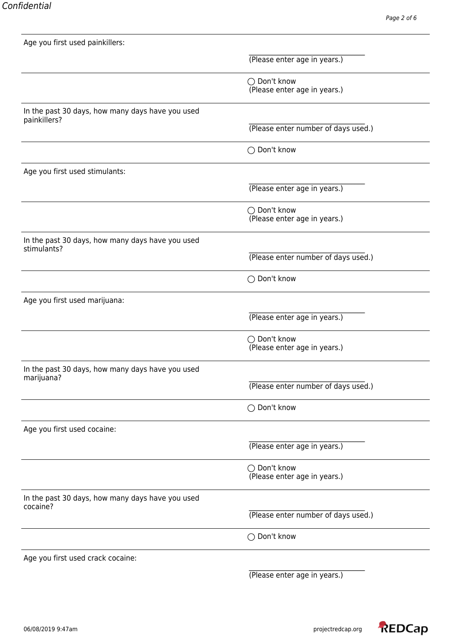| Age you first used painkillers:                                  |                                              |
|------------------------------------------------------------------|----------------------------------------------|
|                                                                  | (Please enter age in years.)                 |
|                                                                  | ◯ Don't know<br>(Please enter age in years.) |
| In the past 30 days, how many days have you used<br>painkillers? | (Please enter number of days used.)          |
|                                                                  | ◯ Don't know                                 |
| Age you first used stimulants:                                   |                                              |
|                                                                  | (Please enter age in years.)                 |
|                                                                  | ◯ Don't know<br>(Please enter age in years.) |
| In the past 30 days, how many days have you used<br>stimulants?  |                                              |
|                                                                  | (Please enter number of days used.)          |
|                                                                  | ◯ Don't know                                 |
| Age you first used marijuana:                                    |                                              |
|                                                                  | (Please enter age in years.)                 |
|                                                                  | ◯ Don't know<br>(Please enter age in years.) |
| In the past 30 days, how many days have you used<br>marijuana?   |                                              |
|                                                                  | (Please enter number of days used.)          |
|                                                                  | ◯ Don't know                                 |
| Age you first used cocaine:                                      |                                              |
|                                                                  | (Please enter age in years.)                 |
|                                                                  | ◯ Don't know<br>(Please enter age in years.) |
| In the past 30 days, how many days have you used<br>cocaine?     |                                              |
|                                                                  | (Please enter number of days used.)          |
|                                                                  | ◯ Don't know                                 |
| Age you first used crack cocaine:                                |                                              |

(Please enter age in years.)

 $\mathcal{L}_\text{max}$ 

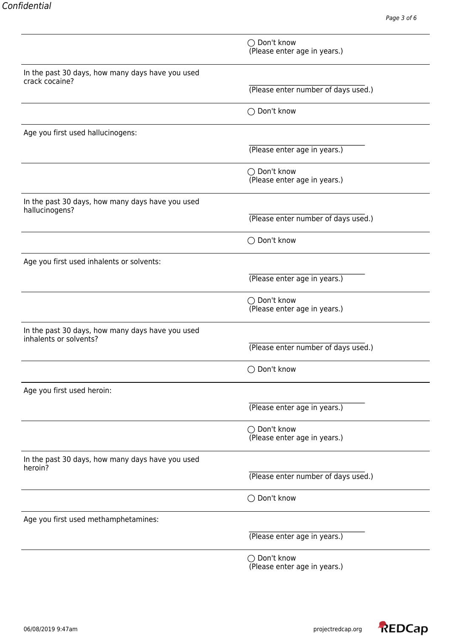|                                                                    | ◯ Don't know<br>(Please enter age in years.) |
|--------------------------------------------------------------------|----------------------------------------------|
|                                                                    |                                              |
| In the past 30 days, how many days have you used                   |                                              |
| crack cocaine?                                                     | (Please enter number of days used.)          |
|                                                                    | ◯ Don't know                                 |
| Age you first used hallucinogens:                                  |                                              |
|                                                                    | (Please enter age in years.)                 |
|                                                                    | ◯ Don't know<br>(Please enter age in years.) |
| In the past 30 days, how many days have you used<br>hallucinogens? |                                              |
|                                                                    | (Please enter number of days used.)          |
|                                                                    | ◯ Don't know                                 |
| Age you first used inhalents or solvents:                          |                                              |
|                                                                    | (Please enter age in years.)                 |
|                                                                    | ◯ Don't know<br>(Please enter age in years.) |
| In the past 30 days, how many days have you used                   |                                              |
| inhalents or solvents?                                             | (Please enter number of days used.)          |
|                                                                    | ◯ Don't know                                 |
| Age you first used heroin:                                         |                                              |
|                                                                    | (Please enter age in years.)                 |
|                                                                    | ◯ Don't know<br>(Please enter age in years.) |
| In the past 30 days, how many days have you used<br>heroin?        |                                              |
|                                                                    | (Please enter number of days used.)          |
|                                                                    | ◯ Don't know                                 |
| Age you first used methamphetamines:                               |                                              |
|                                                                    | (Please enter age in years.)                 |
|                                                                    | ◯ Don't know<br>(Please enter age in years.) |

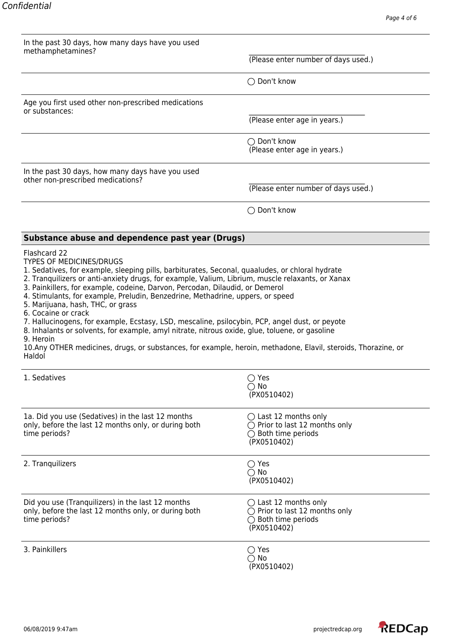| In the past 30 days, how many days have you used                                                                                                                                                                                                                                                                                                                                                                                                                                                                                                                                                                                                                                                                                                                                                                 |                                                                                                                          |
|------------------------------------------------------------------------------------------------------------------------------------------------------------------------------------------------------------------------------------------------------------------------------------------------------------------------------------------------------------------------------------------------------------------------------------------------------------------------------------------------------------------------------------------------------------------------------------------------------------------------------------------------------------------------------------------------------------------------------------------------------------------------------------------------------------------|--------------------------------------------------------------------------------------------------------------------------|
| methamphetamines?                                                                                                                                                                                                                                                                                                                                                                                                                                                                                                                                                                                                                                                                                                                                                                                                | (Please enter number of days used.)                                                                                      |
|                                                                                                                                                                                                                                                                                                                                                                                                                                                                                                                                                                                                                                                                                                                                                                                                                  | ◯ Don't know                                                                                                             |
| Age you first used other non-prescribed medications<br>or substances:                                                                                                                                                                                                                                                                                                                                                                                                                                                                                                                                                                                                                                                                                                                                            |                                                                                                                          |
|                                                                                                                                                                                                                                                                                                                                                                                                                                                                                                                                                                                                                                                                                                                                                                                                                  | (Please enter age in years.)                                                                                             |
|                                                                                                                                                                                                                                                                                                                                                                                                                                                                                                                                                                                                                                                                                                                                                                                                                  | $\bigcirc$ Don't know<br>(Please enter age in years.)                                                                    |
| In the past 30 days, how many days have you used<br>other non-prescribed medications?                                                                                                                                                                                                                                                                                                                                                                                                                                                                                                                                                                                                                                                                                                                            |                                                                                                                          |
|                                                                                                                                                                                                                                                                                                                                                                                                                                                                                                                                                                                                                                                                                                                                                                                                                  | (Please enter number of days used.)                                                                                      |
|                                                                                                                                                                                                                                                                                                                                                                                                                                                                                                                                                                                                                                                                                                                                                                                                                  | $\bigcirc$ Don't know                                                                                                    |
| Substance abuse and dependence past year (Drugs)                                                                                                                                                                                                                                                                                                                                                                                                                                                                                                                                                                                                                                                                                                                                                                 |                                                                                                                          |
| <b>TYPES OF MEDICINES/DRUGS</b><br>1. Sedatives, for example, sleeping pills, barbiturates, Seconal, quaaludes, or chloral hydrate<br>2. Tranquilizers or anti-anxiety drugs, for example, Valium, Librium, muscle relaxants, or Xanax<br>3. Painkillers, for example, codeine, Darvon, Percodan, Dilaudid, or Demerol<br>4. Stimulants, for example, Preludin, Benzedrine, Methadrine, uppers, or speed<br>5. Marijuana, hash, THC, or grass<br>6. Cocaine or crack<br>7. Hallucinogens, for example, Ecstasy, LSD, mescaline, psilocybin, PCP, angel dust, or peyote<br>8. Inhalants or solvents, for example, amyl nitrate, nitrous oxide, glue, toluene, or gasoline<br>9. Heroin<br>10.Any OTHER medicines, drugs, or substances, for example, heroin, methadone, Elavil, steroids, Thorazine, or<br>Haldol |                                                                                                                          |
| 1. Sedatives                                                                                                                                                                                                                                                                                                                                                                                                                                                                                                                                                                                                                                                                                                                                                                                                     | $\bigcirc$ Yes<br>$\bigcirc$ No<br>(PX0510402)                                                                           |
| 1a. Did you use (Sedatives) in the last 12 months<br>only, before the last 12 months only, or during both<br>time periods?                                                                                                                                                                                                                                                                                                                                                                                                                                                                                                                                                                                                                                                                                       | $\bigcirc$ Last 12 months only<br>$\bigcirc$ Prior to last 12 months only<br>$\bigcirc$ Both time periods<br>(PX0510402) |
| 2. Tranquilizers                                                                                                                                                                                                                                                                                                                                                                                                                                                                                                                                                                                                                                                                                                                                                                                                 | $\bigcirc$ Yes<br>$\bigcirc$ No<br>(PX0510402)                                                                           |
| Did you use (Tranquilizers) in the last 12 months<br>only, before the last 12 months only, or during both<br>time periods?                                                                                                                                                                                                                                                                                                                                                                                                                                                                                                                                                                                                                                                                                       | $\bigcirc$ Last 12 months only<br>$\bigcirc$ Prior to last 12 months only<br>$\bigcirc$ Both time periods<br>(PX0510402) |
| 3. Painkillers                                                                                                                                                                                                                                                                                                                                                                                                                                                                                                                                                                                                                                                                                                                                                                                                   | $\bigcirc$ Yes<br>$\bigcirc$ No<br>(PX0510402)                                                                           |

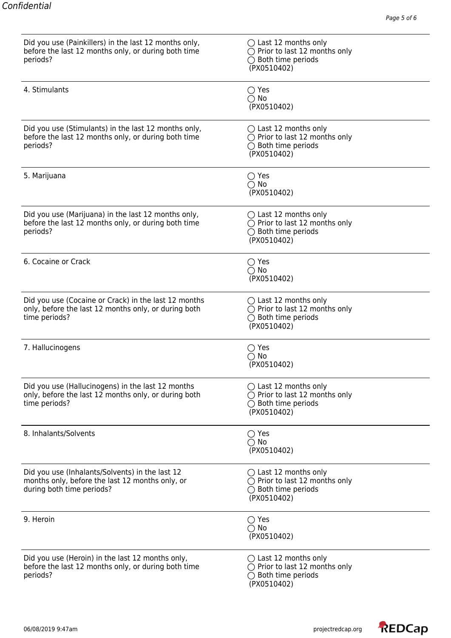| Did you use (Painkillers) in the last 12 months only,<br>before the last 12 months only, or during both time<br>periods?        | $\bigcirc$ Last 12 months only<br>$\bigcirc$ Prior to last 12 months only<br>$\bigcirc$ Both time periods<br>(PX0510402) |
|---------------------------------------------------------------------------------------------------------------------------------|--------------------------------------------------------------------------------------------------------------------------|
| 4. Stimulants                                                                                                                   | $\bigcirc$ Yes<br>$\bigcirc$ No<br>(PX0510402)                                                                           |
| Did you use (Stimulants) in the last 12 months only,<br>before the last 12 months only, or during both time<br>periods?         | $\bigcirc$ Last 12 months only<br>$\bigcirc$ Prior to last 12 months only<br>$\bigcirc$ Both time periods<br>(PX0510402) |
| 5. Marijuana                                                                                                                    | $\bigcirc$ Yes<br>$\bigcirc$ No<br>(PX0510402)                                                                           |
| Did you use (Marijuana) in the last 12 months only,<br>before the last 12 months only, or during both time<br>periods?          | $\bigcirc$ Last 12 months only<br>$\bigcirc$ Prior to last 12 months only<br>$\bigcirc$ Both time periods<br>(PX0510402) |
| 6. Cocaine or Crack                                                                                                             | $\bigcirc$ Yes<br>$\bigcirc$ No<br>(PX0510402)                                                                           |
| Did you use (Cocaine or Crack) in the last 12 months<br>only, before the last 12 months only, or during both<br>time periods?   | $\bigcirc$ Last 12 months only<br>$\bigcirc$ Prior to last 12 months only<br>$\bigcirc$ Both time periods<br>(PX0510402) |
| 7. Hallucinogens                                                                                                                | $\bigcirc$ Yes<br>$\bigcirc$ No<br>(PX0510402)                                                                           |
| Did you use (Hallucinogens) in the last 12 months<br>only, before the last 12 months only, or during both<br>time periods?      | $\bigcirc$ Last 12 months only<br>$\bigcirc$ Prior to last 12 months only<br>$\bigcirc$ Both time periods<br>(PX0510402) |
| 8. Inhalants/Solvents                                                                                                           | $\bigcirc$ Yes<br>$\bigcirc$ No<br>(PX0510402)                                                                           |
| Did you use (Inhalants/Solvents) in the last 12<br>months only, before the last 12 months only, or<br>during both time periods? | $\bigcirc$ Last 12 months only<br>$\bigcirc$ Prior to last 12 months only<br>$\bigcirc$ Both time periods<br>(PX0510402) |
| 9. Heroin                                                                                                                       | $\bigcirc$ Yes<br>$\bigcirc$ No<br>(PX0510402)                                                                           |
| Did you use (Heroin) in the last 12 months only,<br>before the last 12 months only, or during both time<br>periods?             | $\bigcirc$ Last 12 months only<br>$\bigcirc$ Prior to last 12 months only<br>$\bigcirc$ Both time periods<br>(PX0510402) |